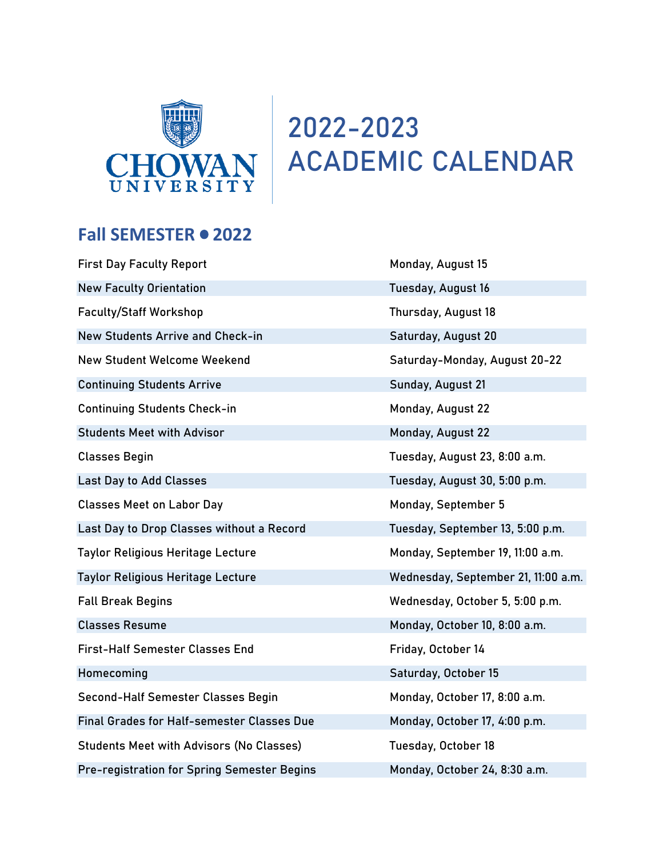

## **2022-2023 ACADEMIC CALENDAR**

## Fall SEMESTER  $\bullet$  2022

| <b>First Day Faculty Report</b>                    | Monday, August 15                   |
|----------------------------------------------------|-------------------------------------|
| <b>New Faculty Orientation</b>                     | Tuesday, August 16                  |
| <b>Faculty/Staff Workshop</b>                      | Thursday, August 18                 |
| New Students Arrive and Check-in                   | Saturday, August 20                 |
| <b>New Student Welcome Weekend</b>                 | Saturday-Monday, August 20-22       |
| <b>Continuing Students Arrive</b>                  | Sunday, August 21                   |
| <b>Continuing Students Check-in</b>                | Monday, August 22                   |
| <b>Students Meet with Advisor</b>                  | Monday, August 22                   |
| <b>Classes Begin</b>                               | Tuesday, August 23, 8:00 a.m.       |
| <b>Last Day to Add Classes</b>                     | Tuesday, August 30, 5:00 p.m.       |
| <b>Classes Meet on Labor Day</b>                   | Monday, September 5                 |
| Last Day to Drop Classes without a Record          | Tuesday, September 13, 5:00 p.m.    |
| <b>Taylor Religious Heritage Lecture</b>           | Monday, September 19, 11:00 a.m.    |
| <b>Taylor Religious Heritage Lecture</b>           | Wednesday, September 21, 11:00 a.m. |
| <b>Fall Break Begins</b>                           | Wednesday, October 5, 5:00 p.m.     |
| <b>Classes Resume</b>                              | Monday, October 10, 8:00 a.m.       |
| <b>First-Half Semester Classes End</b>             | Friday, October 14                  |
| Homecoming                                         | Saturday, October 15                |
| Second-Half Semester Classes Begin                 | Monday, October 17, 8:00 a.m.       |
| Final Grades for Half-semester Classes Due         | Monday, October 17, 4:00 p.m.       |
| <b>Students Meet with Advisors (No Classes)</b>    | Tuesday, October 18                 |
| <b>Pre-registration for Spring Semester Begins</b> | Monday, October 24, 8:30 a.m.       |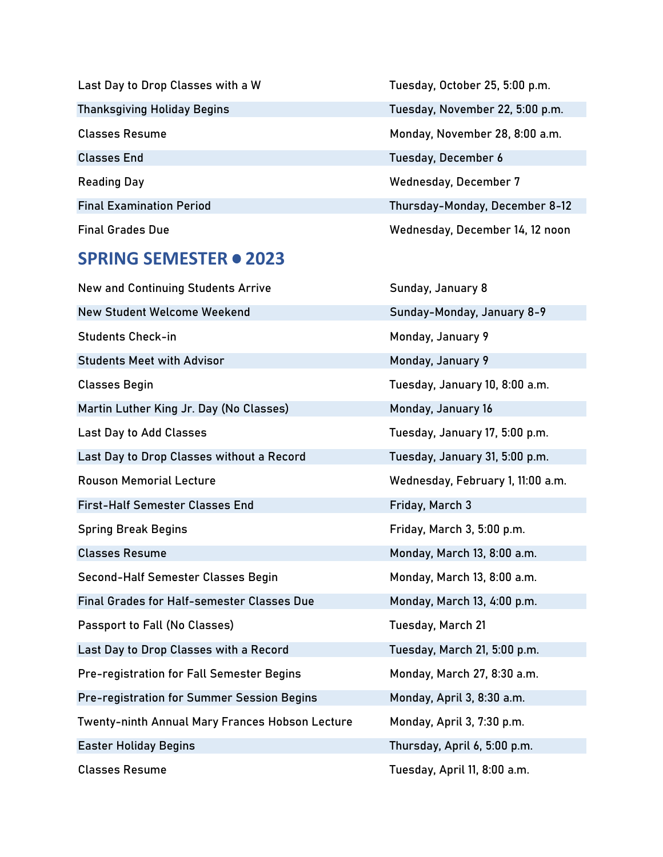| Last Day to Drop Classes with a W  | Tuesday, |
|------------------------------------|----------|
| <b>Thanksgiving Holiday Begins</b> | Tuesday, |
| <b>Classes Resume</b>              | Monday,  |
| <b>Classes End</b>                 | Tuesday, |
| <b>Reading Day</b>                 | Wednesc  |
| <b>Final Examination Period</b>    | Thursday |
| <b>Final Grades Due</b>            | Wednesc  |

## **SPRING SEMESTER . 2023**

| <b>New and Continuing Students Arrive</b>       | Sunday, January 8                 |
|-------------------------------------------------|-----------------------------------|
| <b>New Student Welcome Weekend</b>              | Sunday-Monday, January 8-9        |
| <b>Students Check-in</b>                        | Monday, January 9                 |
| <b>Students Meet with Advisor</b>               | Monday, January 9                 |
| <b>Classes Begin</b>                            | Tuesday, January 10, 8:00 a.m.    |
| Martin Luther King Jr. Day (No Classes)         | Monday, January 16                |
| <b>Last Day to Add Classes</b>                  | Tuesday, January 17, 5:00 p.m.    |
| Last Day to Drop Classes without a Record       | Tuesday, January 31, 5:00 p.m.    |
| <b>Rouson Memorial Lecture</b>                  | Wednesday, February 1, 11:00 a.m. |
| <b>First-Half Semester Classes End</b>          | Friday, March 3                   |
| <b>Spring Break Begins</b>                      | Friday, March 3, 5:00 p.m.        |
| <b>Classes Resume</b>                           | Monday, March 13, 8:00 a.m.       |
| Second-Half Semester Classes Begin              | Monday, March 13, 8:00 a.m.       |
| Final Grades for Half-semester Classes Due      | Monday, March 13, 4:00 p.m.       |
| <b>Passport to Fall (No Classes)</b>            | Tuesday, March 21                 |
| Last Day to Drop Classes with a Record          | Tuesday, March 21, 5:00 p.m.      |
| Pre-registration for Fall Semester Begins       | Monday, March 27, 8:30 a.m.       |
| Pre-registration for Summer Session Begins      | Monday, April 3, 8:30 a.m.        |
| Twenty-ninth Annual Mary Frances Hobson Lecture | Monday, April 3, 7:30 p.m.        |
| <b>Easter Holiday Begins</b>                    | Thursday, April 6, 5:00 p.m.      |
| <b>Classes Resume</b>                           | Tuesday, April 11, 8:00 a.m.      |

October 25, 5:00 p.m. November 22, 5:00 p.m. November 28, 8:00 a.m. December 6 day, December 7 y-Monday, December 8-12 day, December 14, 12 noon